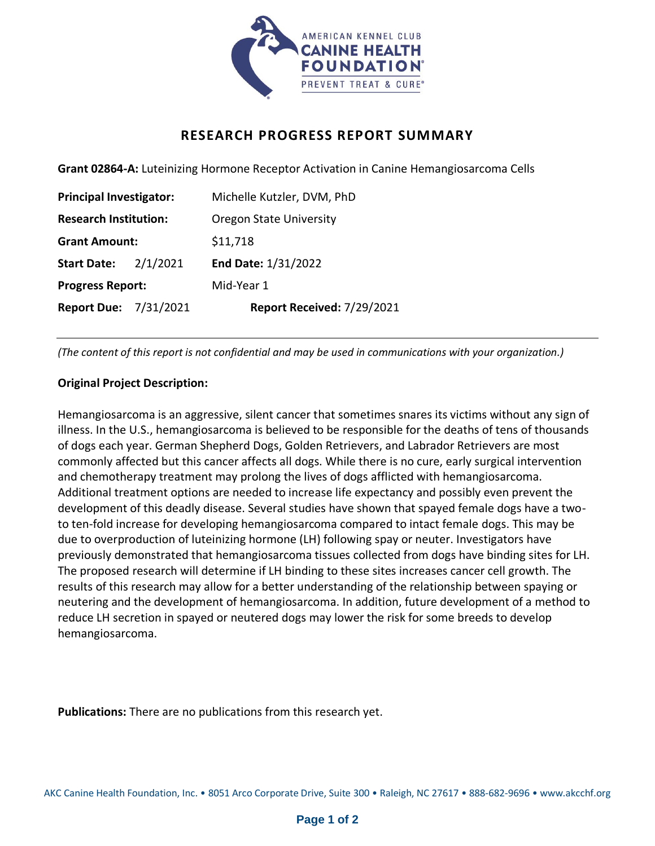

## **RESEARCH PROGRESS REPORT SUMMARY**

**Grant 02864-A:** Luteinizing Hormone Receptor Activation in Canine Hemangiosarcoma Cells

| <b>Principal Investigator:</b> |          | Michelle Kutzler, DVM, PhD     |
|--------------------------------|----------|--------------------------------|
| <b>Research Institution:</b>   |          | <b>Oregon State University</b> |
| <b>Grant Amount:</b>           |          | \$11,718                       |
| <b>Start Date:</b>             | 2/1/2021 | End Date: 1/31/2022            |
| <b>Progress Report:</b>        |          | Mid-Year 1                     |
| <b>Report Due: 7/31/2021</b>   |          | Report Received: 7/29/2021     |

*(The content of this report is not confidential and may be used in communications with your organization.)*

## **Original Project Description:**

Hemangiosarcoma is an aggressive, silent cancer that sometimes snares its victims without any sign of illness. In the U.S., hemangiosarcoma is believed to be responsible for the deaths of tens of thousands of dogs each year. German Shepherd Dogs, Golden Retrievers, and Labrador Retrievers are most commonly affected but this cancer affects all dogs. While there is no cure, early surgical intervention and chemotherapy treatment may prolong the lives of dogs afflicted with hemangiosarcoma. Additional treatment options are needed to increase life expectancy and possibly even prevent the development of this deadly disease. Several studies have shown that spayed female dogs have a twoto ten-fold increase for developing hemangiosarcoma compared to intact female dogs. This may be due to overproduction of luteinizing hormone (LH) following spay or neuter. Investigators have previously demonstrated that hemangiosarcoma tissues collected from dogs have binding sites for LH. The proposed research will determine if LH binding to these sites increases cancer cell growth. The results of this research may allow for a better understanding of the relationship between spaying or neutering and the development of hemangiosarcoma. In addition, future development of a method to reduce LH secretion in spayed or neutered dogs may lower the risk for some breeds to develop hemangiosarcoma.

**Publications:** There are no publications from this research yet.